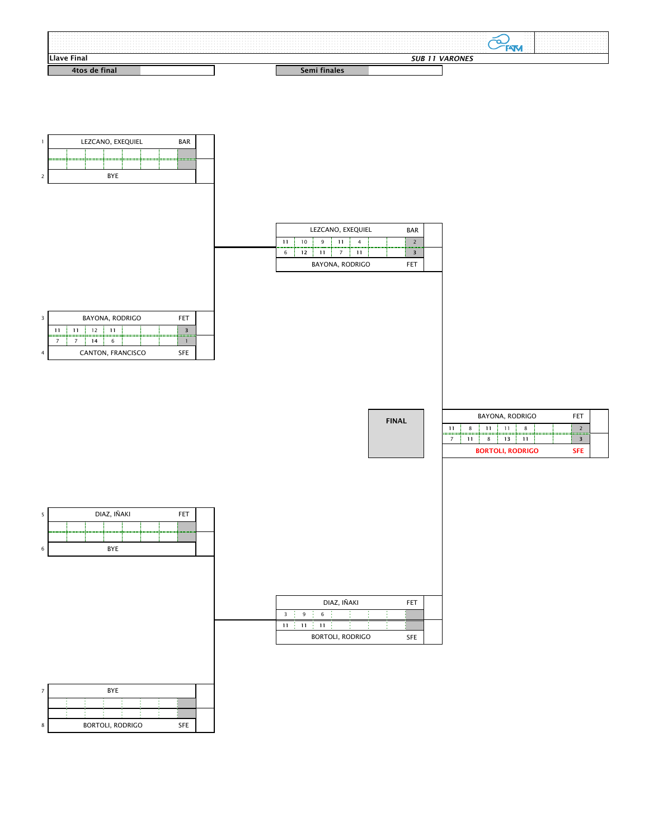

| LEZCANO, EXEQUIEL<br><b>BAR</b> |                                      |    |   |                        |  |  |            |  |  |
|---------------------------------|--------------------------------------|----|---|------------------------|--|--|------------|--|--|
| 11                              | 10<br>9<br>11<br>Δ<br>'============= |    |   |                        |  |  |            |  |  |
| 6                               | 12                                   | 11 | 7 | 11                     |  |  |            |  |  |
|                                 |                                      |    |   | <b>BAYONA, RODRIGO</b> |  |  | <b>FET</b> |  |  |

SFE

|                                        | BAYONA, RODRIGO<br>$  +$ $+$ |  |  |  |  |  |  |  |  |  |  |  |
|----------------------------------------|------------------------------|--|--|--|--|--|--|--|--|--|--|--|
| 11                                     | ₹<br>12<br>11<br>11          |  |  |  |  |  |  |  |  |  |  |  |
|                                        | 14<br>h                      |  |  |  |  |  |  |  |  |  |  |  |
| <b>CANTON, FRANCISCO</b><br><b>SFE</b> |                              |  |  |  |  |  |  |  |  |  |  |  |

Г

| <b>Final</b> |  |  |  |  |  |  |                                                                                                                 |  |                                                                 |                                                                                                                                                                                                                               |  |
|--------------|--|--|--|--|--|--|-----------------------------------------------------------------------------------------------------------------|--|-----------------------------------------------------------------|-------------------------------------------------------------------------------------------------------------------------------------------------------------------------------------------------------------------------------|--|
|              |  |  |  |  |  |  | the contract of the contract of the contract of the contract of the contract of the contract of the contract of |  |                                                                 |                                                                                                                                                                                                                               |  |
|              |  |  |  |  |  |  |                                                                                                                 |  |                                                                 |                                                                                                                                                                                                                               |  |
|              |  |  |  |  |  |  |                                                                                                                 |  |                                                                 | the company of the company of the company of the company of the company of the company of the company of the company of the company of the company of the company of the company of the company of the company of the company |  |
|              |  |  |  |  |  |  |                                                                                                                 |  | .                                                               | the contract of the contract of the contract of the contract of the contract of the contract of                                                                                                                               |  |
|              |  |  |  |  |  |  |                                                                                                                 |  |                                                                 |                                                                                                                                                                                                                               |  |
|              |  |  |  |  |  |  |                                                                                                                 |  | .                                                               | the contract of the contract of the contract of the contract of the contract of the contract of                                                                                                                               |  |
|              |  |  |  |  |  |  |                                                                                                                 |  | the company of the company of the                               | the company of the company of the company of the company of the company of the company of the company of the company of the company of the company of the company of the company of the company of the company of the company |  |
|              |  |  |  |  |  |  |                                                                                                                 |  | the company of the company of<br>the company's property and the |                                                                                                                                                                                                                               |  |
|              |  |  |  |  |  |  |                                                                                                                 |  |                                                                 |                                                                                                                                                                                                                               |  |
|              |  |  |  |  |  |  |                                                                                                                 |  |                                                                 |                                                                                                                                                                                                                               |  |

|    |                                       | <b>BAYONA, RODRIGO</b> |    |    |  |  | FFT |  |  |
|----|---------------------------------------|------------------------|----|----|--|--|-----|--|--|
| 11 | 8                                     | 11                     |    |    |  |  |     |  |  |
|    | 11                                    |                        | 13 | 11 |  |  |     |  |  |
|    | <b>BORTOLI, RODRIGO</b><br><b>SFE</b> |                        |    |    |  |  |     |  |  |





|                |    |    | DIAZ, IÑAKI |  | <b>FET</b> |  |
|----------------|----|----|-------------|--|------------|--|
| 3 <sup>7</sup> | 9  | 6  |             |  |            |  |
| 11             | 11 | 11 |             |  |            |  |

**FINAL**

BORTOLI, RODRIGO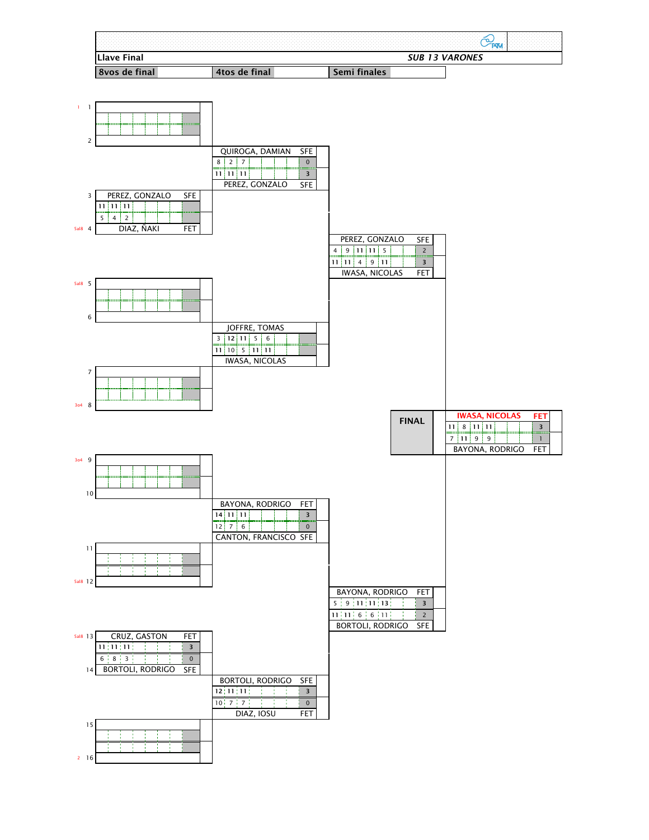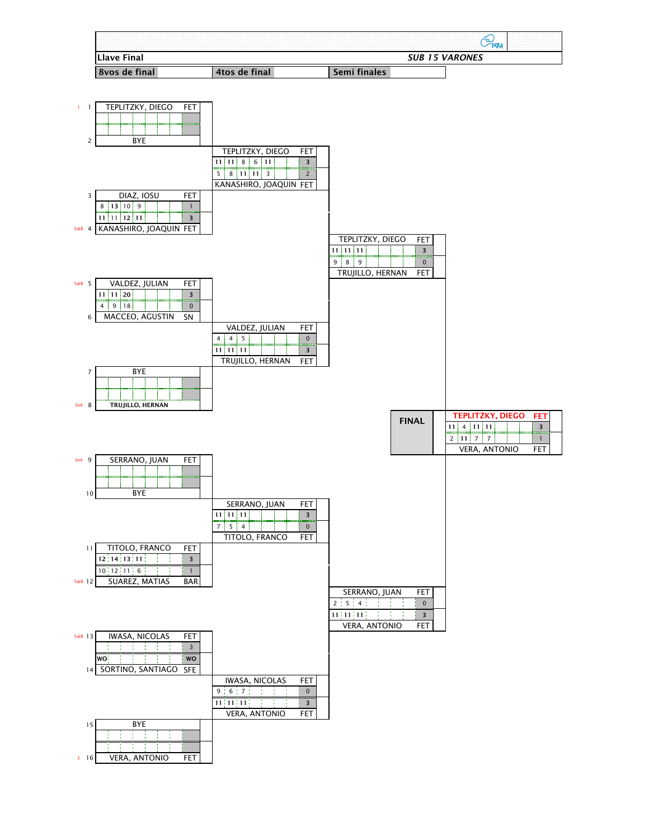**FET**

FET





2 16 | VERA, ANTONIO FET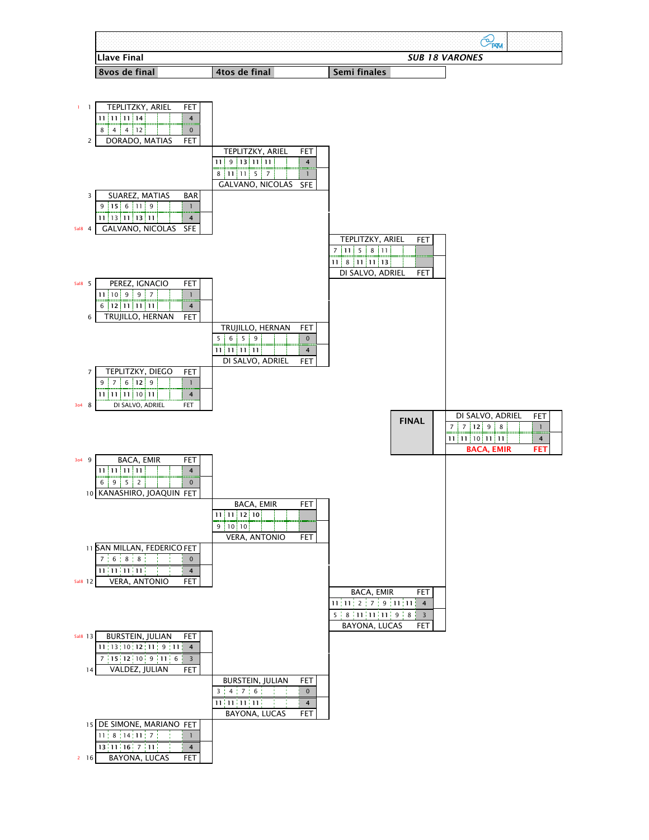FET

**FET**

=====



|          | 9<br>$0$   $12$   9                                                                                                |                            |                         |                                                        |                |                                            |
|----------|--------------------------------------------------------------------------------------------------------------------|----------------------------|-------------------------|--------------------------------------------------------|----------------|--------------------------------------------|
|          | $11$   11   11   10   11  <br>$\overline{4}$                                                                       |                            |                         |                                                        |                |                                            |
| 3o4      | DI SALVO, ADRIEL<br>8<br><b>FET</b>                                                                                |                            |                         |                                                        |                |                                            |
|          |                                                                                                                    |                            |                         |                                                        |                | <b>FE</b><br>DI SALVO, ADRIEL              |
|          |                                                                                                                    |                            |                         |                                                        | <b>FINAL</b>   | 12 <br>9<br>8                              |
|          |                                                                                                                    |                            |                         |                                                        |                | $11$   11   10   11   11<br>$\overline{4}$ |
|          |                                                                                                                    |                            |                         |                                                        |                | <b>BACA, EMIR</b><br>FE                    |
| 3o4      | <b>BACA, EMIR</b><br><b>FET</b><br>9                                                                               |                            |                         |                                                        |                |                                            |
|          | 11 11 11<br>$11 \}$<br>4                                                                                           |                            |                         |                                                        |                |                                            |
|          | $5 \mid$<br>6                                                                                                      |                            |                         |                                                        |                |                                            |
|          | $9 \mid$<br>$\overline{2}$<br>$\overline{0}$                                                                       |                            |                         |                                                        |                |                                            |
|          | 10 KANASHIRO, JOAQUIN FET                                                                                          |                            |                         |                                                        |                |                                            |
|          |                                                                                                                    | <b>BACA, EMIR</b>          | <b>FET</b>              |                                                        |                |                                            |
|          |                                                                                                                    | 11   12   10<br>11         |                         |                                                        |                |                                            |
|          |                                                                                                                    | 9<br>10<br>10 <sub>1</sub> |                         |                                                        |                |                                            |
|          |                                                                                                                    | <b>VERA, ANTONIO</b>       | <b>FET</b>              |                                                        |                |                                            |
|          | 11 SAN MILLAN, FEDERICO FET                                                                                        |                            |                         |                                                        |                |                                            |
|          | $6$ $8$ $8$ $8$ $8$<br>$\overline{0}$                                                                              |                            |                         |                                                        |                |                                            |
|          | $\overline{11}\left[11\right]\overline{11}\left[11\right]$ $\overline{11}\left[-\frac{1}{2}\right]$ $\overline{4}$ |                            |                         |                                                        |                |                                            |
| 5al8 12  | VERA, ANTONIO<br><b>FET</b>                                                                                        |                            |                         |                                                        |                |                                            |
|          |                                                                                                                    |                            |                         | <b>BACA, EMIR</b>                                      | FET            |                                            |
|          |                                                                                                                    |                            |                         | $11$ , $11$ , $2$ , $7$ , $9$ , $11$ , $11$            | $\overline{4}$ |                                            |
|          |                                                                                                                    |                            |                         | $5 \nmid 8 \nmid 11 \nmid 11 \nmid 11 \nmid 9 \nmid 8$ | $\overline{3}$ |                                            |
|          |                                                                                                                    |                            |                         | BAYONA, LUCAS                                          | <b>FET</b>     |                                            |
| 5al8 13  | <b>BURSTEIN, JULIAN</b><br><b>FET</b>                                                                              |                            |                         |                                                        |                |                                            |
|          | $11$ ; 13; 10; 12; 11; 9; 11; 4                                                                                    |                            |                         |                                                        |                |                                            |
|          | 7   15   12   10   9   11   6<br>$\overline{3}$                                                                    |                            |                         |                                                        |                |                                            |
|          | VALDEZ, JULIAN<br><b>FET</b><br>14                                                                                 |                            |                         |                                                        |                |                                            |
|          |                                                                                                                    | <b>BURSTEIN, JULIAN</b>    | <b>FET</b>              |                                                        |                |                                            |
|          |                                                                                                                    | $3$ $1$ 4 $1$ 7 $1$ 6 $1$  | $\overline{0}$          |                                                        |                |                                            |
|          |                                                                                                                    | $11\{11\{11\}11\}$         | $\overline{\mathbf{4}}$ |                                                        |                |                                            |
|          |                                                                                                                    | BAYONA, LUCAS              | <b>FET</b>              |                                                        |                |                                            |
|          | 15 DE SIMONE, MARIANO FET                                                                                          |                            |                         |                                                        |                |                                            |
|          | $11$ ; 8 ; 14 ; 11 ; 7 ;                                                                                           |                            |                         |                                                        |                |                                            |
|          | 13 11 16 7 11 <br>$\overline{4}$                                                                                   |                            |                         |                                                        |                |                                            |
| $2 \t16$ | BAYONA, LUCAS<br><b>FET</b>                                                                                        |                            |                         |                                                        |                |                                            |
|          |                                                                                                                    |                            |                         |                                                        |                |                                            |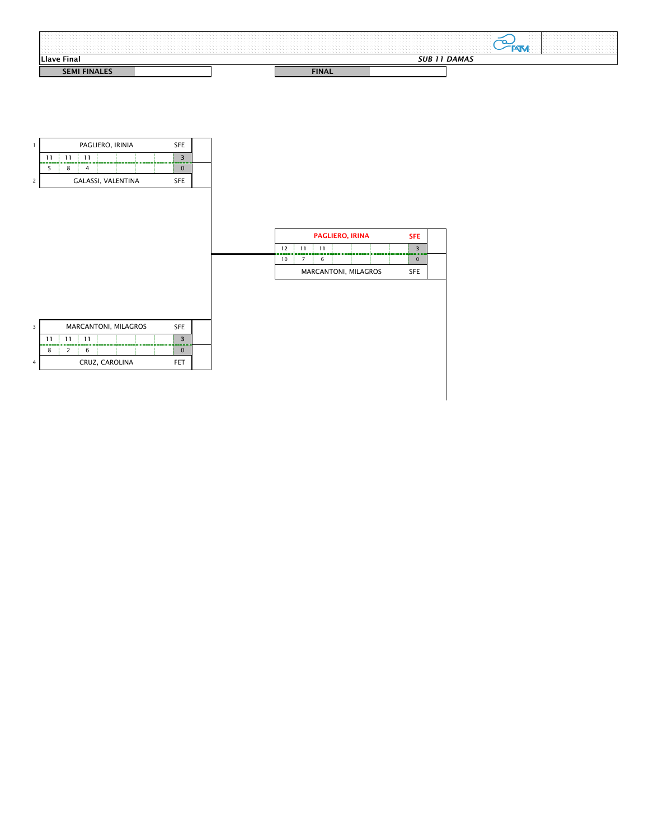



|                   |                             | <b>SFE</b> |  |
|-------------------|-----------------------------|------------|--|
| $12 \ \mathrm{ }$ | 11                          |            |  |
| 10                |                             |            |  |
|                   | <b>MARCANTONI, MILAGROS</b> | <b>SFE</b> |  |

|    |                               |    | <b>MARCANTONI, MILAGROS</b> |  |  |  | <b>SFE</b> |  |  |  |
|----|-------------------------------|----|-----------------------------|--|--|--|------------|--|--|--|
| 11 | 11                            | 11 |                             |  |  |  |            |  |  |  |
|    |                               |    |                             |  |  |  |            |  |  |  |
|    | <b>CRUZ, CAROLINA</b><br>-- 1 |    |                             |  |  |  |            |  |  |  |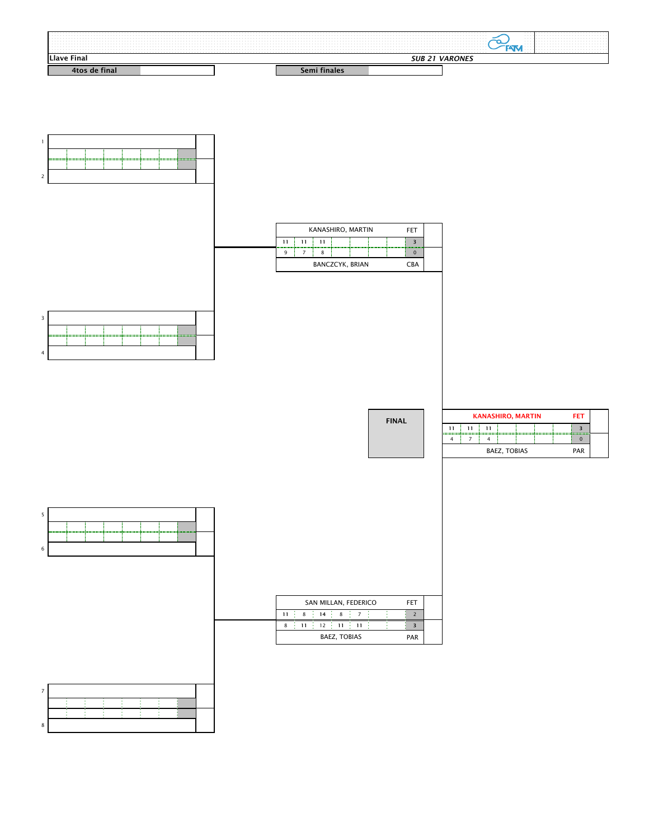





| <b>SALARY AVE THAI</b>                |  |  |  |  |  |  | <b>VARONES</b>                                                                                                                                                                                                                |                                  |                                                                                                                                                                                                                    |                                                                                                                 |  |
|---------------------------------------|--|--|--|--|--|--|-------------------------------------------------------------------------------------------------------------------------------------------------------------------------------------------------------------------------------|----------------------------------|--------------------------------------------------------------------------------------------------------------------------------------------------------------------------------------------------------------------|-----------------------------------------------------------------------------------------------------------------|--|
|                                       |  |  |  |  |  |  | the company of the company of the company of the company of the company of the company of the company of the company of the company of the company of the company of the company of the company of the company of the company |                                  |                                                                                                                                                                                                                    |                                                                                                                 |  |
|                                       |  |  |  |  |  |  |                                                                                                                                                                                                                               |                                  |                                                                                                                                                                                                                    | the contract of the contract of the contract of the contract of the contract of the contract of the contract of |  |
|                                       |  |  |  |  |  |  |                                                                                                                                                                                                                               |                                  |                                                                                                                                                                                                                    |                                                                                                                 |  |
|                                       |  |  |  |  |  |  |                                                                                                                                                                                                                               | and the state of the contract of |                                                                                                                                                                                                                    |                                                                                                                 |  |
|                                       |  |  |  |  |  |  |                                                                                                                                                                                                                               |                                  | the contract of the contract of the contract of the contract of the contract of the contract of the contract of                                                                                                    |                                                                                                                 |  |
|                                       |  |  |  |  |  |  |                                                                                                                                                                                                                               |                                  | the contract of the contract of the contract of the contract of the contract of the contract of the contract of<br>the contract of the contract of the contract of the contract of the contract of the contract of |                                                                                                                 |  |
| and the company of the company of the |  |  |  |  |  |  |                                                                                                                                                                                                                               |                                  | the contract of the contract of the contract of the contract of the contract of the contract of the contract of<br>the contract of the contract of the contract of the contract of the contract of the contract of |                                                                                                                 |  |
|                                       |  |  |  |  |  |  |                                                                                                                                                                                                                               |                                  |                                                                                                                                                                                                                    |                                                                                                                 |  |

|    |   | SAN MILLAN, FEDERICO |   |                |  | <b>FET</b> |  |
|----|---|----------------------|---|----------------|--|------------|--|
| 11 | 8 | 14                   | 8 | $\overline{7}$ |  |            |  |
| 8  |   | 12                   |   |                |  | 3          |  |





7 8

PAR BAEZ, TOBIAS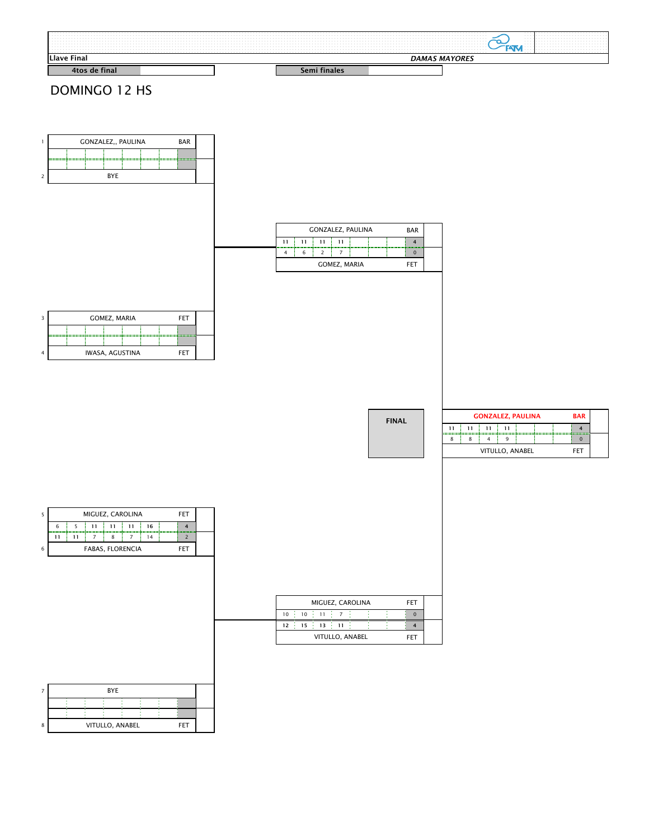## DOMINGO 12 HS

FET

|    |    | MIGUEZ, CAROLINA |                |  | <b>FET</b> |  |
|----|----|------------------|----------------|--|------------|--|
| 10 | 10 | 11               | $\overline{7}$ |  |            |  |
| 12 | 15 | 13               | 11             |  |            |  |

| 5 | MIGUEZ, CAROLINA<br>FET        |                      |  |  |  |    |  |  |  |  |  |  |  |
|---|--------------------------------|----------------------|--|--|--|----|--|--|--|--|--|--|--|
|   | 6                              | 11<br>16<br>11<br>11 |  |  |  |    |  |  |  |  |  |  |  |
|   | 11                             | 11                   |  |  |  | 14 |  |  |  |  |  |  |  |
| 6 | <b>FABAS, FLORENCIA</b><br>FET |                      |  |  |  |    |  |  |  |  |  |  |  |











VITULLO, ANABEL

| <b>MQ</b> |       |  |  |  |  |  |  |  |  |  |     |                                                                                                                                                                                                                               |                                          |    |                               |  |                                                                                                                                                                                                                               |  |
|-----------|-------|--|--|--|--|--|--|--|--|--|-----|-------------------------------------------------------------------------------------------------------------------------------------------------------------------------------------------------------------------------------|------------------------------------------|----|-------------------------------|--|-------------------------------------------------------------------------------------------------------------------------------------------------------------------------------------------------------------------------------|--|
|           | Final |  |  |  |  |  |  |  |  |  | DA. | <b>MAYORES</b>                                                                                                                                                                                                                |                                          |    |                               |  |                                                                                                                                                                                                                               |  |
|           |       |  |  |  |  |  |  |  |  |  |     |                                                                                                                                                                                                                               | the contract of the contract of the con- |    |                               |  | the company of the company of the company of the company of the company of the company of the company of the company of the company of the company of the company of the company of the company of the company of the company |  |
|           |       |  |  |  |  |  |  |  |  |  |     |                                                                                                                                                                                                                               |                                          |    |                               |  |                                                                                                                                                                                                                               |  |
|           |       |  |  |  |  |  |  |  |  |  |     |                                                                                                                                                                                                                               |                                          |    |                               |  | the contract of the contract of the contract of the contract of the contract of the contract of the contract of                                                                                                               |  |
|           |       |  |  |  |  |  |  |  |  |  |     |                                                                                                                                                                                                                               |                                          | ີີ |                               |  |                                                                                                                                                                                                                               |  |
|           |       |  |  |  |  |  |  |  |  |  |     |                                                                                                                                                                                                                               |                                          | ~  | the company's company's       |  | the contract of the contract of the contract of the contract of the contract of the contract of the contract of                                                                                                               |  |
|           |       |  |  |  |  |  |  |  |  |  |     | the company of the company of the company of the company of the company of the company of the company of the company of the company of the company of the company of the company of the company of the company of the company |                                          |    |                               |  |                                                                                                                                                                                                                               |  |
|           |       |  |  |  |  |  |  |  |  |  |     |                                                                                                                                                                                                                               |                                          |    | the company of the company of |  | the contract of the contract of the contract of the contract of the contract of the contract of                                                                                                                               |  |
|           |       |  |  |  |  |  |  |  |  |  |     |                                                                                                                                                                                                                               |                                          |    |                               |  |                                                                                                                                                                                                                               |  |
|           |       |  |  |  |  |  |  |  |  |  |     |                                                                                                                                                                                                                               |                                          |    | .                             |  |                                                                                                                                                                                                                               |  |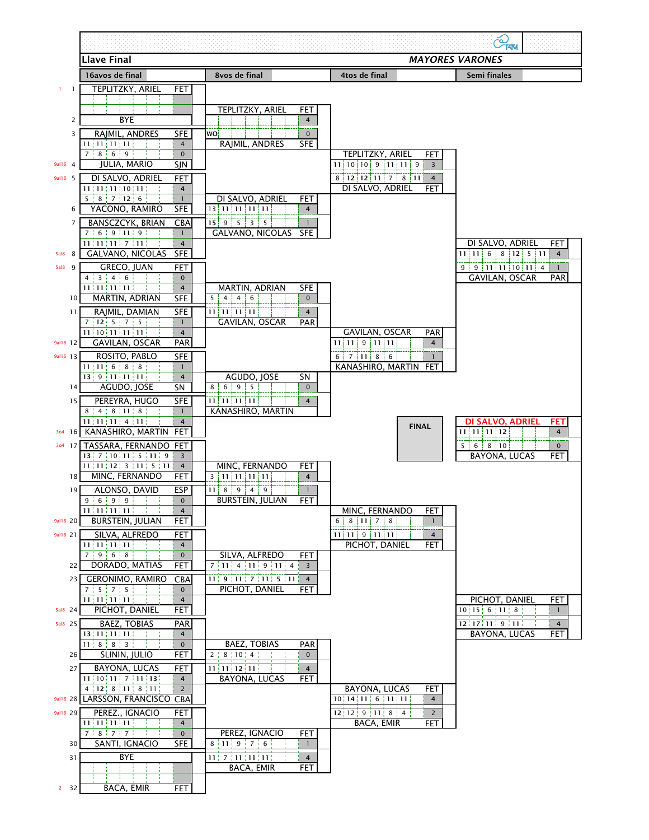|                 |                                                                                                       |                                                             |                                                           | $C_{\text{KNN}}$                                         |
|-----------------|-------------------------------------------------------------------------------------------------------|-------------------------------------------------------------|-----------------------------------------------------------|----------------------------------------------------------|
|                 | <b>Llave Final</b>                                                                                    |                                                             |                                                           | <b>MAYORES VARONES</b>                                   |
|                 | 16avos de final                                                                                       | 8vos de final                                               | 4tos de final                                             | <b>Semi finales</b>                                      |
|                 | TEPLITZKY, ARIEL<br><b>FET</b>                                                                        |                                                             |                                                           |                                                          |
|                 |                                                                                                       |                                                             |                                                           |                                                          |
| $\overline{2}$  | <b>BYE</b>                                                                                            | TEPLITZKY, ARIEL<br><b>FET</b><br>$\overline{4}$            |                                                           |                                                          |
| $\mathsf{3}$    | RAJMIL, ANDRES                                                                                        | <b>WO</b>                                                   |                                                           |                                                          |
|                 | <b>SFE</b><br>$11\{11\{11\}11\}$<br>$\overline{4}$                                                    | $\overline{0}$<br>RAJMIL, ANDRES<br><b>SFE</b>              |                                                           |                                                          |
|                 | 7:8:6:9:<br>$\mathbf{0}$                                                                              |                                                             | <b>TEPLITZKY, ARIEL</b>                                   | <b>FET</b>                                               |
| 9al16 4         | <b>JULIA, MARIO</b><br><b>SJN</b>                                                                     |                                                             | 10 <sub>1</sub><br>10 <sub>i</sub><br>-9<br>9<br>11<br>11 |                                                          |
| 9al16 5         | DI SALVO, ADRIEL<br><b>FET</b>                                                                        |                                                             | $12$ 11<br>8<br>12 <br>7<br>8 <sup>1</sup><br>11!         | $\overline{4}$                                           |
|                 | $11$ ; $11$ ; $11$ ; $10$ ; $11$ ;<br>$\overline{4}$                                                  |                                                             | DI SALVO, ADRIEL                                          | <b>FET</b>                                               |
|                 | $5 \div 8 \div 7 \div 12 \div 6 \div$                                                                 | DI SALVO, ADRIEL<br><b>FET</b>                              |                                                           |                                                          |
| 6               | YACONO, RAMIRO<br><b>SFE</b>                                                                          | 13 11 11 11 11<br>$\overline{4}$                            |                                                           |                                                          |
| $\overline{7}$  | <b>BANSCZCYK, BRIAN</b><br><b>CBA</b><br>7:6:9:11:9:1                                                 | 5<br>15 <sup>1</sup><br>9<br>3<br>5<br>GALVANO, NICOLAS SFE |                                                           |                                                          |
|                 | $11$ ; $11$ ; $11$ ; $7$ ; $11$ ; $1$ ;<br>$\overline{4}$                                             |                                                             |                                                           | <b>FET</b><br>DI SALVO, ADRIEL                           |
| 8<br>5al8       | <b>SFE</b><br><b>GALVANO, NICOLAS</b>                                                                 |                                                             |                                                           | $12$ 5 11<br>8 <sup>1</sup><br>6<br>$\overline{4}$<br>11 |
| 5al8<br>9       | <b>GRECO, JUAN</b><br><b>FET</b>                                                                      |                                                             |                                                           | 9   11   11   10   11   4<br>9                           |
|                 | 4:3:4:6:<br>$\overline{0}$                                                                            |                                                             |                                                           | <b>GAVILAN, OSCAR</b><br><b>PAR</b>                      |
|                 | $11\,11\,11\,11\,11\,1$<br>$\overline{4}$                                                             | <b>MARTIN, ADRIAN</b><br><b>SFE</b>                         |                                                           |                                                          |
| 10 <sub>l</sub> | <b>SFE</b><br>MARTIN, ADRIAN                                                                          | 5 i<br>$\overline{0}$<br>6<br>4<br>4                        |                                                           |                                                          |
| 11              | RAJMIL, DAMIAN<br><b>SFE</b><br>7:12:5:7:5                                                            | 11 11 11 11 <br>$\overline{4}$<br><b>GAVILAN, OSCAR</b>     |                                                           |                                                          |
|                 | $11\left[10\left[11\right]11\right]11\right]$<br>$\overline{4}$                                       | <b>PAR</b>                                                  | <b>GAVILAN, OSCAR</b>                                     | <b>PAR</b>                                               |
| 9al16 12        | <b>GAVILAN, OSCAR</b><br><b>PAR</b>                                                                   |                                                             | 9 11 11<br>11!<br>11                                      | 4                                                        |
| 9al16 13        | ROSITO, PABLO<br><b>SFE</b>                                                                           |                                                             | 7   11   8   6<br>6                                       |                                                          |
|                 | 11   11   6   8   8                                                                                   |                                                             | KANASHIRO, MARTIN FET                                     |                                                          |
|                 | $13 \frac{1}{2}$ 9 $\frac{1}{2}$ 11 $\frac{1}{2}$ 11 $\frac{1}{2}$ 11 $\frac{1}{2}$<br>$\overline{4}$ | AGUDO, JOSE<br><b>SN</b>                                    |                                                           |                                                          |
| 14              | AGUDO, JOSE<br>SN                                                                                     | 8 <sup>1</sup><br>6<br>9<br>5<br>$\mathbf{0}$               |                                                           |                                                          |
| 15              | PEREYRA, HUGO<br><b>SFE</b>                                                                           | $11$   $11$   $11$   $11$<br>$\overline{4}$                 |                                                           |                                                          |

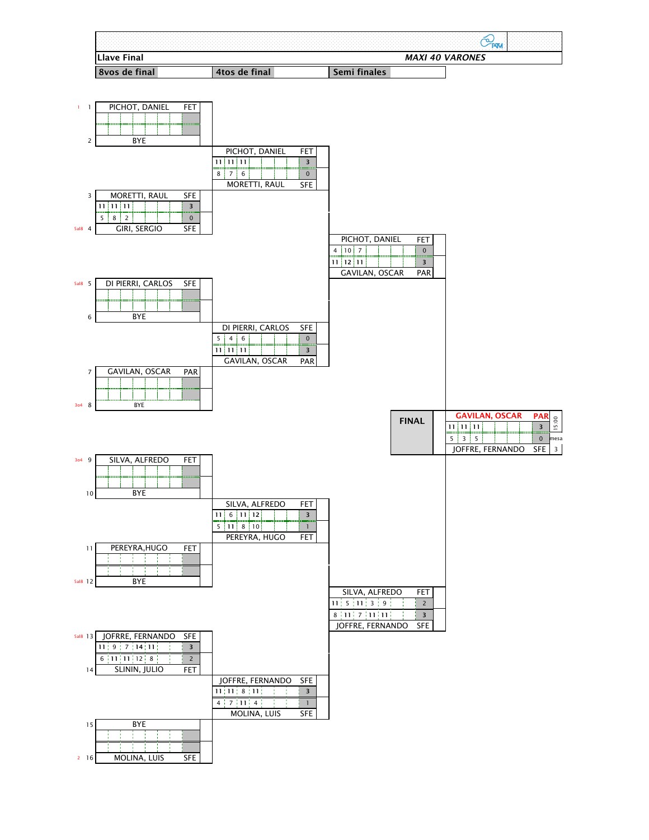PAR

**PAR**

 $SFE$  3

**11 11 11 3** 7 | GAVILAN, OSCAR PAR GAVILAN, OSCAR

2 16 | MOLINA, LUIS SFE



![](_page_8_Figure_2.jpeg)

15:00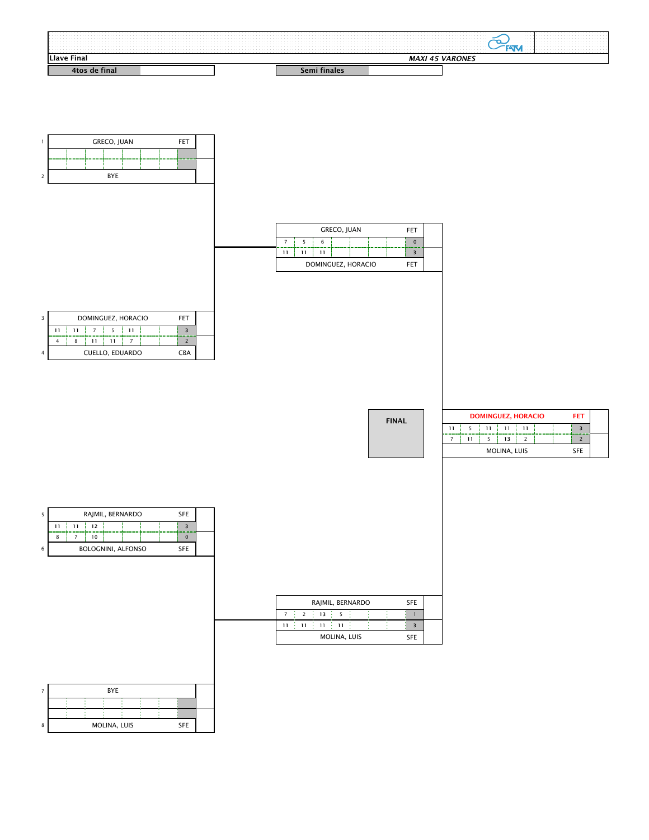|                |                |       |                          | RAJMIL, BERNARDO |  | <b>SFE</b> |  |
|----------------|----------------|-------|--------------------------|------------------|--|------------|--|
| $\overline{7}$ | $\overline{2}$ | $13+$ | $\overline{\phantom{0}}$ |                  |  |            |  |
|                |                |       |                          |                  |  |            |  |

|                               | DOMINGUEZ, HORACIO<br>FLL |  |  |  |  |  |  |  |  |  |  |  |  |
|-------------------------------|---------------------------|--|--|--|--|--|--|--|--|--|--|--|--|
| 11                            | 11                        |  |  |  |  |  |  |  |  |  |  |  |  |
|                               | 11                        |  |  |  |  |  |  |  |  |  |  |  |  |
| <b>CUELLO, EDUARDO</b><br>CBA |                           |  |  |  |  |  |  |  |  |  |  |  |  |

![](_page_9_Figure_2.jpeg)

П

Г

|    |                                   | <b>DOMINGUEZ, HORACIO</b> |  |  |  |  | FET |  |  |  |  |  |  |
|----|-----------------------------------|---------------------------|--|--|--|--|-----|--|--|--|--|--|--|
| 11 | ₹<br>11<br>11                     |                           |  |  |  |  |     |  |  |  |  |  |  |
|    | 11                                |                           |  |  |  |  |     |  |  |  |  |  |  |
|    | <b>MOLINA, LUIS</b><br><b>SFE</b> |                           |  |  |  |  |     |  |  |  |  |  |  |

![](_page_9_Figure_1.jpeg)

| כ |                                         |    |                 | RAJMIL, BERNARDO |  |  |  | <b>SFE</b> |  |  |
|---|-----------------------------------------|----|-----------------|------------------|--|--|--|------------|--|--|
|   | 11                                      | 11 | $12 \ \mathrm{$ |                  |  |  |  |            |  |  |
|   |                                         |    | 10              |                  |  |  |  |            |  |  |
| 6 | <b>BOLOGNINI, ALFONSO</b><br><b>SFE</b> |    |                 |                  |  |  |  |            |  |  |

SFE MOLINA, LUIS

![](_page_9_Figure_8.jpeg)

|  |  |  |  |  |  |  |  |                                                                | the contract of the contract of the contract of the contract of the contract of the contract of the contract of |
|--|--|--|--|--|--|--|--|----------------------------------------------------------------|-----------------------------------------------------------------------------------------------------------------|
|  |  |  |  |  |  |  |  |                                                                |                                                                                                                 |
|  |  |  |  |  |  |  |  |                                                                | the contract of the contract of the contract of the contract of the contract of the contract of the contract of |
|  |  |  |  |  |  |  |  | the company of the company of<br>the company of the company of | the contract of the contract of the contract of the contract of the contract of the contract of                 |
|  |  |  |  |  |  |  |  | the company of the company                                     |                                                                                                                 |
|  |  |  |  |  |  |  |  | the company of the company<br>the company of the company of    | the contract of the contract of the contract of the contract of the contract of the contract of                 |
|  |  |  |  |  |  |  |  | the company of the company of                                  |                                                                                                                 |
|  |  |  |  |  |  |  |  | the company of the company of<br>the contract of               |                                                                                                                 |
|  |  |  |  |  |  |  |  |                                                                |                                                                                                                 |